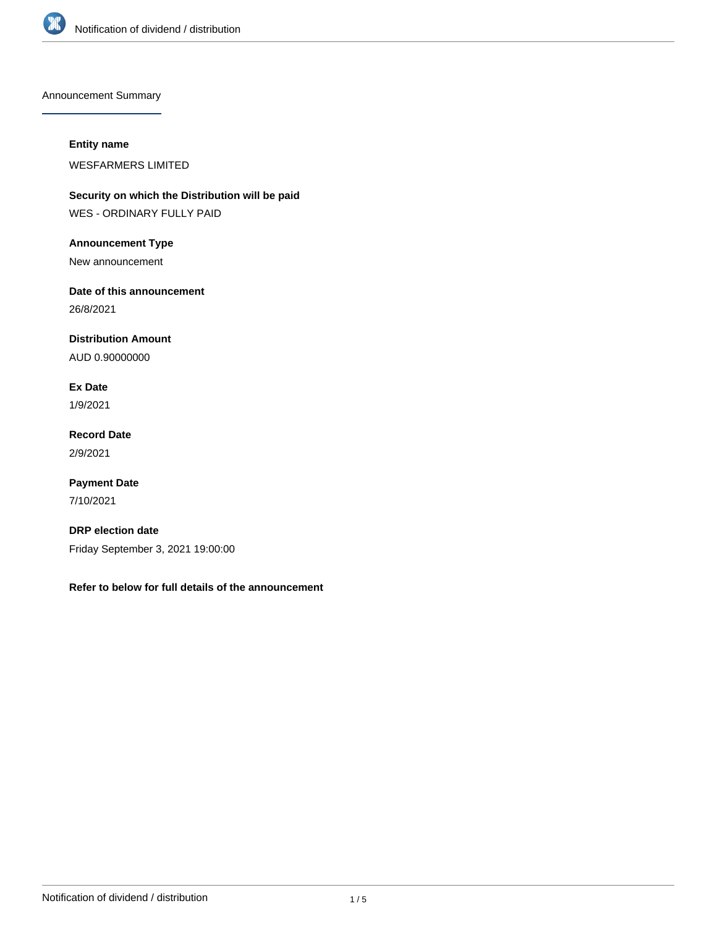

Announcement Summary

### **Entity name**

WESFARMERS LIMITED

**Security on which the Distribution will be paid** WES - ORDINARY FULLY PAID

**Announcement Type**

New announcement

**Date of this announcement**

26/8/2021

**Distribution Amount**

AUD 0.90000000

**Ex Date** 1/9/2021

**Record Date** 2/9/2021

**Payment Date** 7/10/2021

**DRP election date** Friday September 3, 2021 19:00:00

**Refer to below for full details of the announcement**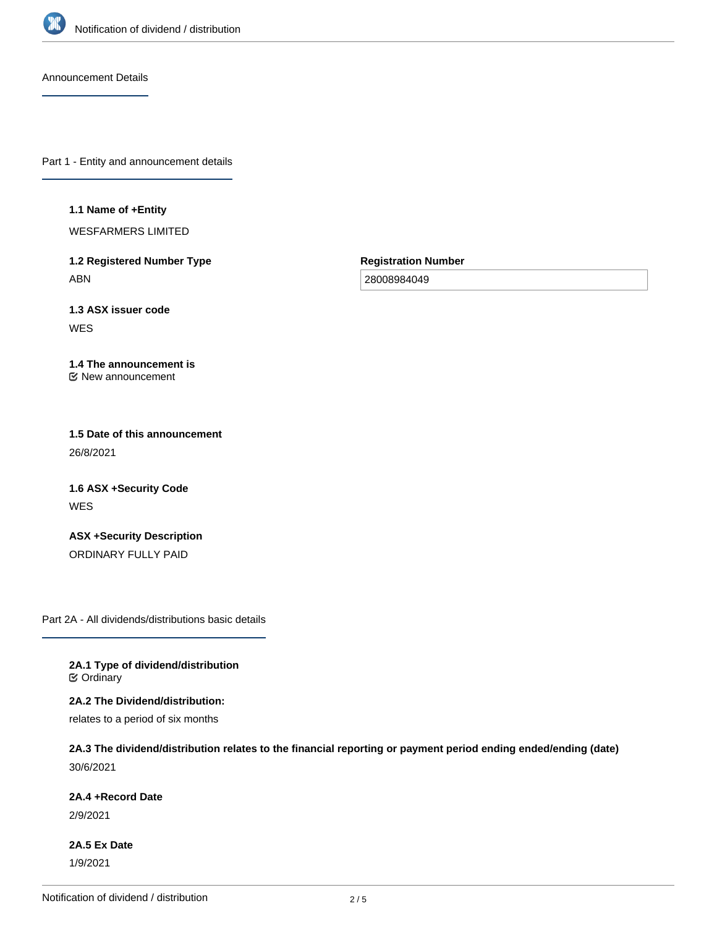

Announcement Details

Part 1 - Entity and announcement details

#### **1.1 Name of +Entity**

WESFARMERS LIMITED

**1.2 Registered Number Type** ABN

**Registration Number**

28008984049

**1.3 ASX issuer code WES** 

#### **1.4 The announcement is** New announcement

**1.5 Date of this announcement** 26/8/2021

**1.6 ASX +Security Code** WES

**ASX +Security Description** ORDINARY FULLY PAID

Part 2A - All dividends/distributions basic details

**2A.1 Type of dividend/distribution C** Ordinary

**2A.2 The Dividend/distribution:** relates to a period of six months

**2A.3 The dividend/distribution relates to the financial reporting or payment period ending ended/ending (date)** 30/6/2021

**2A.4 +Record Date**

2/9/2021

**2A.5 Ex Date** 1/9/2021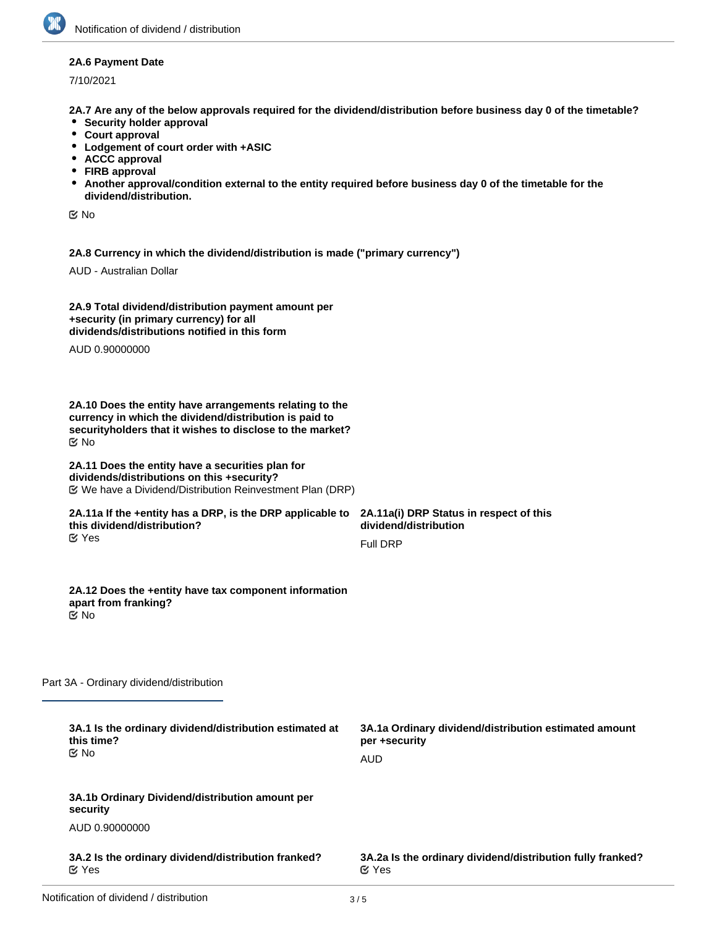### **2A.6 Payment Date**

7/10/2021

**2A.7 Are any of the below approvals required for the dividend/distribution before business day 0 of the timetable?**

- **•** Security holder approval
- **Court approval**
- **Lodgement of court order with +ASIC**
- **ACCC approval**
- **FIRB approval**
- **Another approval/condition external to the entity required before business day 0 of the timetable for the dividend/distribution.**

No

**2A.8 Currency in which the dividend/distribution is made ("primary currency")**

AUD - Australian Dollar

| 2A.9 Total dividend/distribution payment amount per |  |
|-----------------------------------------------------|--|
| +security (in primary currency) for all             |  |
| dividends/distributions notified in this form       |  |

AUD 0.90000000

**2A.10 Does the entity have arrangements relating to the currency in which the dividend/distribution is paid to securityholders that it wishes to disclose to the market?** No

#### **2A.11 Does the entity have a securities plan for dividends/distributions on this +security?** We have a Dividend/Distribution Reinvestment Plan (DRP)

#### **2A.11a If the +entity has a DRP, is the DRP applicable to this dividend/distribution?** Yes

**2A.11a(i) DRP Status in respect of this dividend/distribution** Full DRP

#### **2A.12 Does the +entity have tax component information apart from franking?** No

Part 3A - Ordinary dividend/distribution

| 3A.1 Is the ordinary dividend/distribution estimated at<br>this time?<br>় No | 3A.1a Ordinary dividend/distribution estimated amount<br>per +security     |  |
|-------------------------------------------------------------------------------|----------------------------------------------------------------------------|--|
|                                                                               | AUD                                                                        |  |
| 3A.1b Ordinary Dividend/distribution amount per<br>security                   |                                                                            |  |
| AUD 0.90000000                                                                |                                                                            |  |
| 3A.2 Is the ordinary dividend/distribution franked?<br>$\alpha$ Yes           | 3A.2a Is the ordinary dividend/distribution fully franked?<br>$\alpha$ Yes |  |
|                                                                               |                                                                            |  |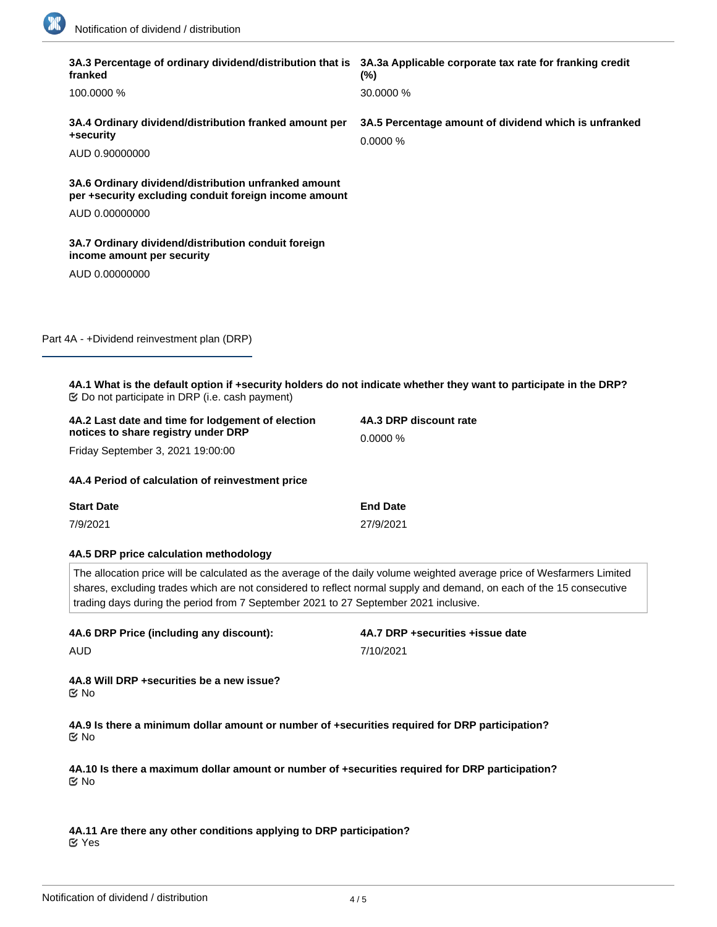1

 $\sim$ 

|  | 3A.3 Percentage of ordinary dividend/distribution that is 3A.3a Applicable corporate tax rate for franking credit<br>franked                                                                                                                                                                                                            | $(\%)$                                                            |  |  |
|--|-----------------------------------------------------------------------------------------------------------------------------------------------------------------------------------------------------------------------------------------------------------------------------------------------------------------------------------------|-------------------------------------------------------------------|--|--|
|  | 100.0000 %                                                                                                                                                                                                                                                                                                                              | 30.0000 %                                                         |  |  |
|  | 3A.4 Ordinary dividend/distribution franked amount per<br>+security                                                                                                                                                                                                                                                                     | 3A.5 Percentage amount of dividend which is unfranked<br>0.0000 % |  |  |
|  | AUD 0.90000000                                                                                                                                                                                                                                                                                                                          |                                                                   |  |  |
|  | 3A.6 Ordinary dividend/distribution unfranked amount<br>per +security excluding conduit foreign income amount                                                                                                                                                                                                                           |                                                                   |  |  |
|  | AUD 0.00000000                                                                                                                                                                                                                                                                                                                          |                                                                   |  |  |
|  | 3A.7 Ordinary dividend/distribution conduit foreign<br>income amount per security                                                                                                                                                                                                                                                       |                                                                   |  |  |
|  | AUD 0.00000000                                                                                                                                                                                                                                                                                                                          |                                                                   |  |  |
|  |                                                                                                                                                                                                                                                                                                                                         |                                                                   |  |  |
|  | Part 4A - +Dividend reinvestment plan (DRP)                                                                                                                                                                                                                                                                                             |                                                                   |  |  |
|  |                                                                                                                                                                                                                                                                                                                                         |                                                                   |  |  |
|  | 4A.1 What is the default option if +security holders do not indicate whether they want to participate in the DRP?<br><b> ©</b> Do not participate in DRP (i.e. cash payment)                                                                                                                                                            |                                                                   |  |  |
|  | 4A.2 Last date and time for lodgement of election<br>notices to share registry under DRP                                                                                                                                                                                                                                                | 4A.3 DRP discount rate                                            |  |  |
|  | Friday September 3, 2021 19:00:00                                                                                                                                                                                                                                                                                                       | 0.0000 %                                                          |  |  |
|  |                                                                                                                                                                                                                                                                                                                                         |                                                                   |  |  |
|  | 4A.4 Period of calculation of reinvestment price                                                                                                                                                                                                                                                                                        |                                                                   |  |  |
|  | <b>Start Date</b>                                                                                                                                                                                                                                                                                                                       | <b>End Date</b>                                                   |  |  |
|  | 7/9/2021                                                                                                                                                                                                                                                                                                                                | 27/9/2021                                                         |  |  |
|  | 4A.5 DRP price calculation methodology                                                                                                                                                                                                                                                                                                  |                                                                   |  |  |
|  | The allocation price will be calculated as the average of the daily volume weighted average price of Wesfarmers Limited<br>shares, excluding trades which are not considered to reflect normal supply and demand, on each of the 15 consecutive<br>trading days during the period from 7 September 2021 to 27 September 2021 inclusive. |                                                                   |  |  |
|  | 4A.6 DRP Price (including any discount):                                                                                                                                                                                                                                                                                                | 4A.7 DRP +securities +issue date                                  |  |  |
|  | AUD                                                                                                                                                                                                                                                                                                                                     | 7/10/2021                                                         |  |  |
|  | 4A.8 Will DRP +securities be a new issue?<br>で No                                                                                                                                                                                                                                                                                       |                                                                   |  |  |
|  | 4A.9 Is there a minimum dollar amount or number of +securities required for DRP participation?<br>ত No                                                                                                                                                                                                                                  |                                                                   |  |  |
|  | 4A.10 Is there a maximum dollar amount or number of +securities required for DRP participation?<br>ত No                                                                                                                                                                                                                                 |                                                                   |  |  |
|  | 4A.11 Are there any other conditions applying to DRP participation?                                                                                                                                                                                                                                                                     |                                                                   |  |  |

Yes